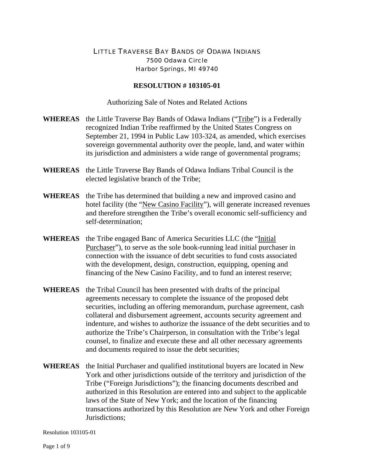## LITTLE TRAVERSE BAY BANDS OF ODAWA INDIANS 7500 Odawa Circle Harbor Springs, MI 49740

## **RESOLUTION # 103105-01**

Authorizing Sale of Notes and Related Actions

- **WHEREAS** the Little Traverse Bay Bands of Odawa Indians ("Tribe") is a Federally recognized Indian Tribe reaffirmed by the United States Congress on September 21, 1994 in Public Law 103-324, as amended, which exercises sovereign governmental authority over the people, land, and water within its jurisdiction and administers a wide range of governmental programs;
- **WHEREAS** the Little Traverse Bay Bands of Odawa Indians Tribal Council is the elected legislative branch of the Tribe;
- **WHEREAS** the Tribe has determined that building a new and improved casino and hotel facility (the "New Casino Facility"), will generate increased revenues and therefore strengthen the Tribe's overall economic self-sufficiency and self-determination;
- **WHEREAS** the Tribe engaged Banc of America Securities LLC (the "Initial Purchaser"), to serve as the sole book-running lead initial purchaser in connection with the issuance of debt securities to fund costs associated with the development, design, construction, equipping, opening and financing of the New Casino Facility, and to fund an interest reserve;
- **WHEREAS** the Tribal Council has been presented with drafts of the principal agreements necessary to complete the issuance of the proposed debt securities, including an offering memorandum, purchase agreement, cash collateral and disbursement agreement, accounts security agreement and indenture, and wishes to authorize the issuance of the debt securities and to authorize the Tribe's Chairperson, in consultation with the Tribe's legal counsel, to finalize and execute these and all other necessary agreements and documents required to issue the debt securities;
- **WHEREAS** the Initial Purchaser and qualified institutional buyers are located in New York and other jurisdictions outside of the territory and jurisdiction of the Tribe ("Foreign Jurisdictions"); the financing documents described and authorized in this Resolution are entered into and subject to the applicable laws of the State of New York; and the location of the financing transactions authorized by this Resolution are New York and other Foreign Jurisdictions;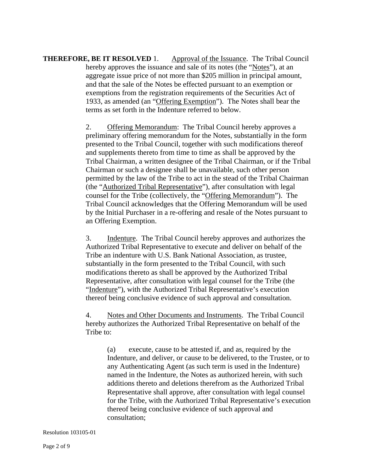**THEREFORE, BE IT RESOLVED 1.** Approval of the Issuance. The Tribal Council hereby approves the issuance and sale of its notes (the "Notes"), at an aggregate issue price of not more than \$205 million in principal amount, and that the sale of the Notes be effected pursuant to an exemption or exemptions from the registration requirements of the Securities Act of 1933, as amended (an "Offering Exemption"). The Notes shall bear the terms as set forth in the Indenture referred to below.

> 2. Offering Memorandum: The Tribal Council hereby approves a preliminary offering memorandum for the Notes, substantially in the form presented to the Tribal Council, together with such modifications thereof and supplements thereto from time to time as shall be approved by the Tribal Chairman, a written designee of the Tribal Chairman, or if the Tribal Chairman or such a designee shall be unavailable, such other person permitted by the law of the Tribe to act in the stead of the Tribal Chairman (the "Authorized Tribal Representative"), after consultation with legal counsel for the Tribe (collectively, the "Offering Memorandum"). The Tribal Council acknowledges that the Offering Memorandum will be used by the Initial Purchaser in a re-offering and resale of the Notes pursuant to an Offering Exemption.

 3. Indenture. The Tribal Council hereby approves and authorizes the Authorized Tribal Representative to execute and deliver on behalf of the Tribe an indenture with U.S. Bank National Association, as trustee, substantially in the form presented to the Tribal Council, with such modifications thereto as shall be approved by the Authorized Tribal Representative, after consultation with legal counsel for the Tribe (the "Indenture"), with the Authorized Tribal Representative's execution thereof being conclusive evidence of such approval and consultation.

 4. Notes and Other Documents and Instruments. The Tribal Council hereby authorizes the Authorized Tribal Representative on behalf of the Tribe to:

 (a) execute, cause to be attested if, and as, required by the Indenture, and deliver, or cause to be delivered, to the Trustee, or to any Authenticating Agent (as such term is used in the Indenture) named in the Indenture, the Notes as authorized herein, with such additions thereto and deletions therefrom as the Authorized Tribal Representative shall approve, after consultation with legal counsel for the Tribe, with the Authorized Tribal Representative's execution thereof being conclusive evidence of such approval and consultation;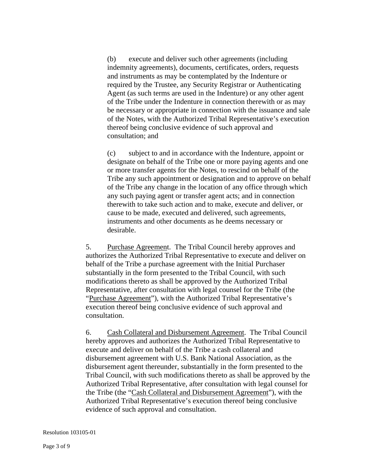(b) execute and deliver such other agreements (including indemnity agreements), documents, certificates, orders, requests and instruments as may be contemplated by the Indenture or required by the Trustee, any Security Registrar or Authenticating Agent (as such terms are used in the Indenture) or any other agent of the Tribe under the Indenture in connection therewith or as may be necessary or appropriate in connection with the issuance and sale of the Notes, with the Authorized Tribal Representative's execution thereof being conclusive evidence of such approval and consultation; and

 (c) subject to and in accordance with the Indenture, appoint or designate on behalf of the Tribe one or more paying agents and one or more transfer agents for the Notes, to rescind on behalf of the Tribe any such appointment or designation and to approve on behalf of the Tribe any change in the location of any office through which any such paying agent or transfer agent acts; and in connection therewith to take such action and to make, execute and deliver, or cause to be made, executed and delivered, such agreements, instruments and other documents as he deems necessary or desirable.

 5. Purchase Agreement. The Tribal Council hereby approves and authorizes the Authorized Tribal Representative to execute and deliver on behalf of the Tribe a purchase agreement with the Initial Purchaser substantially in the form presented to the Tribal Council, with such modifications thereto as shall be approved by the Authorized Tribal Representative, after consultation with legal counsel for the Tribe (the "Purchase Agreement"), with the Authorized Tribal Representative's execution thereof being conclusive evidence of such approval and consultation.

 6. Cash Collateral and Disbursement Agreement. The Tribal Council hereby approves and authorizes the Authorized Tribal Representative to execute and deliver on behalf of the Tribe a cash collateral and disbursement agreement with U.S. Bank National Association, as the disbursement agent thereunder, substantially in the form presented to the Tribal Council, with such modifications thereto as shall be approved by the Authorized Tribal Representative, after consultation with legal counsel for the Tribe (the "Cash Collateral and Disbursement Agreement"), with the Authorized Tribal Representative's execution thereof being conclusive evidence of such approval and consultation.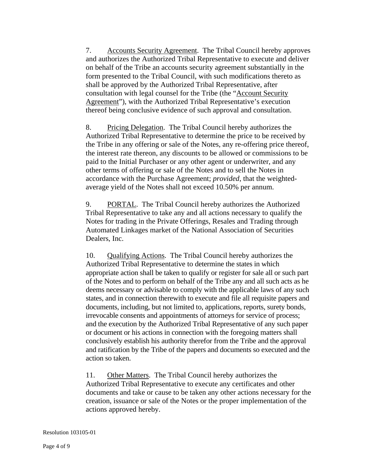7. Accounts Security Agreement. The Tribal Council hereby approves and authorizes the Authorized Tribal Representative to execute and deliver on behalf of the Tribe an accounts security agreement substantially in the form presented to the Tribal Council, with such modifications thereto as shall be approved by the Authorized Tribal Representative, after consultation with legal counsel for the Tribe (the "Account Security Agreement"), with the Authorized Tribal Representative's execution thereof being conclusive evidence of such approval and consultation.

 8. Pricing Delegation. The Tribal Council hereby authorizes the Authorized Tribal Representative to determine the price to be received by the Tribe in any offering or sale of the Notes, any re-offering price thereof, the interest rate thereon, any discounts to be allowed or commissions to be paid to the Initial Purchaser or any other agent or underwriter, and any other terms of offering or sale of the Notes and to sell the Notes in accordance with the Purchase Agreement; *provided*, that the weightedaverage yield of the Notes shall not exceed 10.50% per annum.

9. PORTAL. The Tribal Council hereby authorizes the Authorized Tribal Representative to take any and all actions necessary to qualify the Notes for trading in the Private Offerings, Resales and Trading through Automated Linkages market of the National Association of Securities Dealers, Inc.

 10. Qualifying Actions. The Tribal Council hereby authorizes the Authorized Tribal Representative to determine the states in which appropriate action shall be taken to qualify or register for sale all or such part of the Notes and to perform on behalf of the Tribe any and all such acts as he deems necessary or advisable to comply with the applicable laws of any such states, and in connection therewith to execute and file all requisite papers and documents, including, but not limited to, applications, reports, surety bonds, irrevocable consents and appointments of attorneys for service of process; and the execution by the Authorized Tribal Representative of any such paper or document or his actions in connection with the foregoing matters shall conclusively establish his authority therefor from the Tribe and the approval and ratification by the Tribe of the papers and documents so executed and the action so taken.

11. Other Matters. The Tribal Council hereby authorizes the Authorized Tribal Representative to execute any certificates and other documents and take or cause to be taken any other actions necessary for the creation, issuance or sale of the Notes or the proper implementation of the actions approved hereby.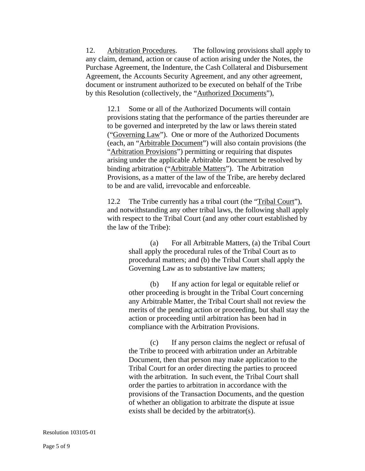12. Arbitration Procedures. The following provisions shall apply to any claim, demand, action or cause of action arising under the Notes, the Purchase Agreement, the Indenture, the Cash Collateral and Disbursement Agreement, the Accounts Security Agreement, and any other agreement, document or instrument authorized to be executed on behalf of the Tribe by this Resolution (collectively, the "Authorized Documents"),

 12.1 Some or all of the Authorized Documents will contain provisions stating that the performance of the parties thereunder are to be governed and interpreted by the law or laws therein stated ("Governing Law"). One or more of the Authorized Documents (each, an "Arbitrable Document") will also contain provisions (the "Arbitration Provisions") permitting or requiring that disputes arising under the applicable Arbitrable Document be resolved by binding arbitration ("Arbitrable Matters"). The Arbitration Provisions, as a matter of the law of the Tribe, are hereby declared to be and are valid, irrevocable and enforceable.

 12.2 The Tribe currently has a tribal court (the "Tribal Court"), and notwithstanding any other tribal laws, the following shall apply with respect to the Tribal Court (and any other court established by the law of the Tribe):

> (a) For all Arbitrable Matters, (a) the Tribal Court shall apply the procedural rules of the Tribal Court as to procedural matters; and (b) the Tribal Court shall apply the Governing Law as to substantive law matters;

> (b) If any action for legal or equitable relief or other proceeding is brought in the Tribal Court concerning any Arbitrable Matter, the Tribal Court shall not review the merits of the pending action or proceeding, but shall stay the action or proceeding until arbitration has been had in compliance with the Arbitration Provisions.

 (c) If any person claims the neglect or refusal of the Tribe to proceed with arbitration under an Arbitrable Document, then that person may make application to the Tribal Court for an order directing the parties to proceed with the arbitration. In such event, the Tribal Court shall order the parties to arbitration in accordance with the provisions of the Transaction Documents, and the question of whether an obligation to arbitrate the dispute at issue exists shall be decided by the arbitrator(s).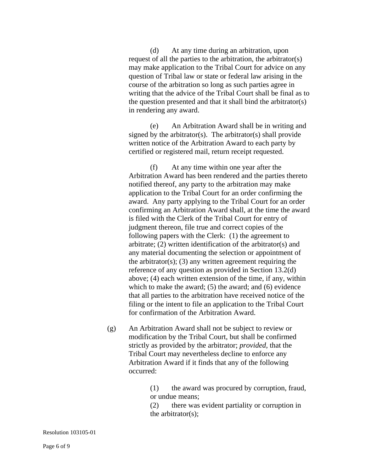(d) At any time during an arbitration, upon request of all the parties to the arbitration, the arbitrator(s) may make application to the Tribal Court for advice on any question of Tribal law or state or federal law arising in the course of the arbitration so long as such parties agree in writing that the advice of the Tribal Court shall be final as to the question presented and that it shall bind the arbitrator(s) in rendering any award.

 (e) An Arbitration Award shall be in writing and signed by the arbitrator(s). The arbitrator(s) shall provide written notice of the Arbitration Award to each party by certified or registered mail, return receipt requested.

 (f) At any time within one year after the Arbitration Award has been rendered and the parties thereto notified thereof, any party to the arbitration may make application to the Tribal Court for an order confirming the award. Any party applying to the Tribal Court for an order confirming an Arbitration Award shall, at the time the award is filed with the Clerk of the Tribal Court for entry of judgment thereon, file true and correct copies of the following papers with the Clerk: (1) the agreement to arbitrate; (2) written identification of the arbitrator(s) and any material documenting the selection or appointment of the arbitrator(s); (3) any written agreement requiring the reference of any question as provided in Section 13.2(d) above; (4) each written extension of the time, if any, within which to make the award; (5) the award; and (6) evidence that all parties to the arbitration have received notice of the filing or the intent to file an application to the Tribal Court for confirmation of the Arbitration Award.

(g) An Arbitration Award shall not be subject to review or modification by the Tribal Court, but shall be confirmed strictly as provided by the arbitrator; *provided,* that the Tribal Court may nevertheless decline to enforce any Arbitration Award if it finds that any of the following occurred:

> (1) the award was procured by corruption, fraud, or undue means;

 (2) there was evident partiality or corruption in the arbitrator(s);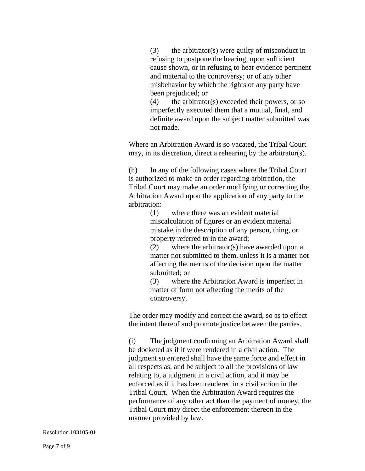(3) the arbitrator(s) were guilty of misconduct in refusing to postpone the hearing, upon sufficient cause shown, or in refusing to hear evidence pertinent and material to the controversy; or of any other misbehavior by which the rights of any party have been prejudiced; or

 $(4)$  the arbitrator(s) exceeded their powers, or so imperfectly executed them that a mutual, final, and definite award upon the subject matter submitted was not made.

Where an Arbitration Award is so vacated, the Tribal Court may, in its discretion, direct a rehearing by the arbitrator(s).

 (h) In any of the following cases where the Tribal Court is authorized to make an order regarding arbitration, the Tribal Court may make an order modifying or correcting the Arbitration Award upon the application of any party to the arbitration:

> (1) where there was an evident material miscalculation of figures or an evident material mistake in the description of any person, thing, or property referred to in the award;

 (2) where the arbitrator(s) have awarded upon a matter not submitted to them, unless it is a matter not affecting the merits of the decision upon the matter submitted; or

 (3) where the Arbitration Award is imperfect in matter of form not affecting the merits of the controversy.

The order may modify and correct the award, so as to effect the intent thereof and promote justice between the parties.

 (i) The judgment confirming an Arbitration Award shall be docketed as if it were rendered in a civil action. The judgment so entered shall have the same force and effect in all respects as, and be subject to all the provisions of law relating to, a judgment in a civil action, and it may be enforced as if it has been rendered in a civil action in the Tribal Court. When the Arbitration Award requires the performance of any other act than the payment of money, the Tribal Court may direct the enforcement thereon in the manner provided by law.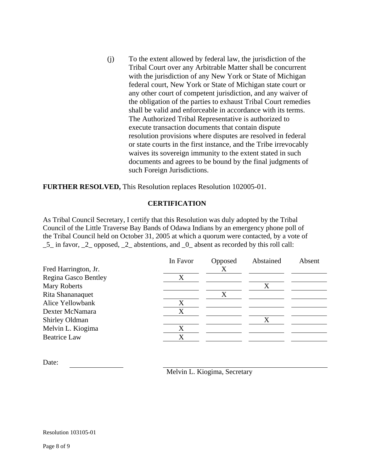(j) To the extent allowed by federal law, the jurisdiction of the Tribal Court over any Arbitrable Matter shall be concurrent with the jurisdiction of any New York or State of Michigan federal court, New York or State of Michigan state court or any other court of competent jurisdiction, and any waiver of the obligation of the parties to exhaust Tribal Court remedies shall be valid and enforceable in accordance with its terms. The Authorized Tribal Representative is authorized to execute transaction documents that contain dispute resolution provisions where disputes are resolved in federal or state courts in the first instance, and the Tribe irrevocably waives its sovereign immunity to the extent stated in such documents and agrees to be bound by the final judgments of such Foreign Jurisdictions.

**FURTHER RESOLVED,** This Resolution replaces Resolution 102005-01.

## **CERTIFICATION**

As Tribal Council Secretary, I certify that this Resolution was duly adopted by the Tribal Council of the Little Traverse Bay Bands of Odawa Indians by an emergency phone poll of the Tribal Council held on October 31, 2005 at which a quorum were contacted, by a vote of \_5\_ in favor, \_2\_ opposed, \_2\_ abstentions, and \_0\_ absent as recorded by this roll call:

|                      | In Favor | Opposed | Abstained | Absent |
|----------------------|----------|---------|-----------|--------|
| Fred Harrington, Jr. |          | X       |           |        |
| Regina Gasco Bentley | X        |         |           |        |
| <b>Mary Roberts</b>  |          |         | Х         |        |
| Rita Shananaquet     |          | Χ       |           |        |
| Alice Yellowbank     | X        |         |           |        |
| Dexter McNamara      | X        |         |           |        |
| Shirley Oldman       |          |         |           |        |
| Melvin L. Kiogima    | X        |         |           |        |
| <b>Beatrice Law</b>  | X        |         |           |        |

Date:

Melvin L. Kiogima, Secretary